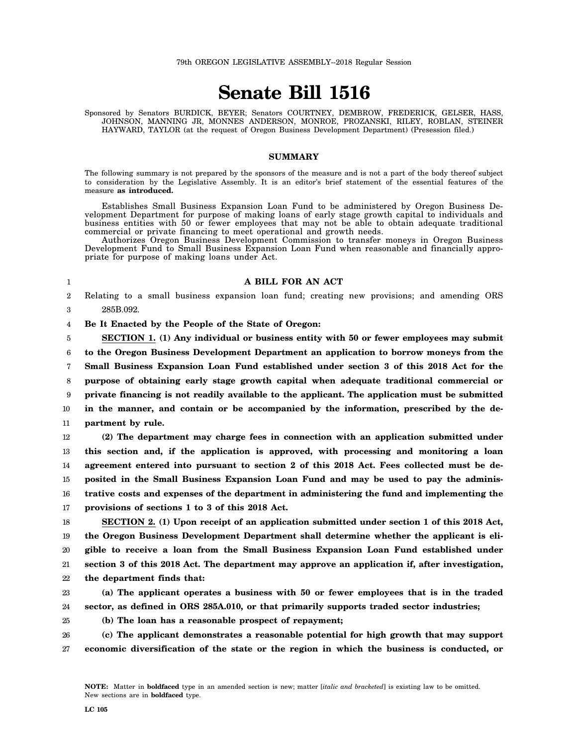## **Senate Bill 1516**

Sponsored by Senators BURDICK, BEYER; Senators COURTNEY, DEMBROW, FREDERICK, GELSER, HASS, JOHNSON, MANNING JR, MONNES ANDERSON, MONROE, PROZANSKI, RILEY, ROBLAN, STEINER HAYWARD, TAYLOR (at the request of Oregon Business Development Department) (Presession filed.)

## **SUMMARY**

The following summary is not prepared by the sponsors of the measure and is not a part of the body thereof subject to consideration by the Legislative Assembly. It is an editor's brief statement of the essential features of the measure **as introduced.**

Establishes Small Business Expansion Loan Fund to be administered by Oregon Business Development Department for purpose of making loans of early stage growth capital to individuals and business entities with 50 or fewer employees that may not be able to obtain adequate traditional commercial or private financing to meet operational and growth needs.

Authorizes Oregon Business Development Commission to transfer moneys in Oregon Business Development Fund to Small Business Expansion Loan Fund when reasonable and financially appropriate for purpose of making loans under Act.

1

## **A BILL FOR AN ACT**

2 3 Relating to a small business expansion loan fund; creating new provisions; and amending ORS 285B.092.

4 **Be It Enacted by the People of the State of Oregon:**

5 6 7 8 9 10 11 **SECTION 1. (1) Any individual or business entity with 50 or fewer employees may submit to the Oregon Business Development Department an application to borrow moneys from the Small Business Expansion Loan Fund established under section 3 of this 2018 Act for the purpose of obtaining early stage growth capital when adequate traditional commercial or private financing is not readily available to the applicant. The application must be submitted in the manner, and contain or be accompanied by the information, prescribed by the department by rule.**

12 13 14 15 16 17 **(2) The department may charge fees in connection with an application submitted under this section and, if the application is approved, with processing and monitoring a loan agreement entered into pursuant to section 2 of this 2018 Act. Fees collected must be deposited in the Small Business Expansion Loan Fund and may be used to pay the administrative costs and expenses of the department in administering the fund and implementing the provisions of sections 1 to 3 of this 2018 Act.**

18 19 20 21 22 **SECTION 2. (1) Upon receipt of an application submitted under section 1 of this 2018 Act, the Oregon Business Development Department shall determine whether the applicant is eligible to receive a loan from the Small Business Expansion Loan Fund established under section 3 of this 2018 Act. The department may approve an application if, after investigation, the department finds that:**

23 24 **(a) The applicant operates a business with 50 or fewer employees that is in the traded sector, as defined in ORS 285A.010, or that primarily supports traded sector industries;**

25

**(b) The loan has a reasonable prospect of repayment;**

26 27 **(c) The applicant demonstrates a reasonable potential for high growth that may support economic diversification of the state or the region in which the business is conducted, or**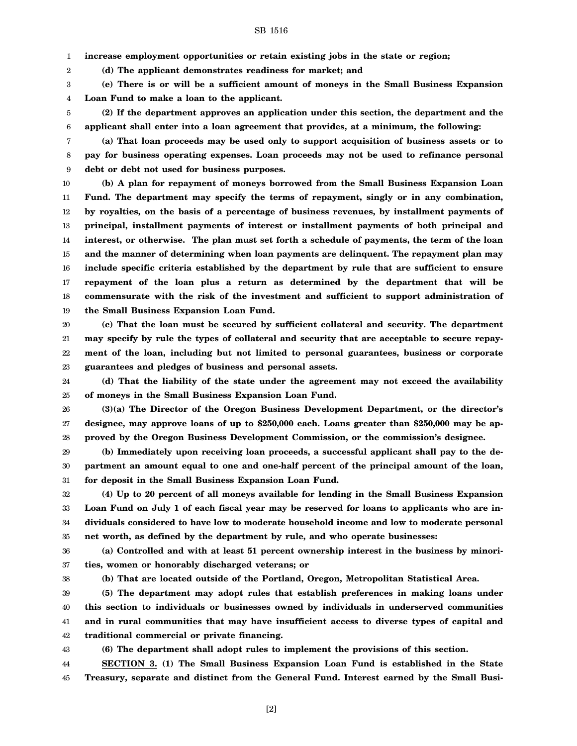SB 1516

1 **increase employment opportunities or retain existing jobs in the state or region;**

**(d) The applicant demonstrates readiness for market; and**

3 4 **(e) There is or will be a sufficient amount of moneys in the Small Business Expansion Loan Fund to make a loan to the applicant.**

5 6 **(2) If the department approves an application under this section, the department and the applicant shall enter into a loan agreement that provides, at a minimum, the following:**

7 8 9 **(a) That loan proceeds may be used only to support acquisition of business assets or to pay for business operating expenses. Loan proceeds may not be used to refinance personal debt or debt not used for business purposes.**

10 11 12 13 14 15 16 17 18 19 **(b) A plan for repayment of moneys borrowed from the Small Business Expansion Loan Fund. The department may specify the terms of repayment, singly or in any combination, by royalties, on the basis of a percentage of business revenues, by installment payments of principal, installment payments of interest or installment payments of both principal and interest, or otherwise. The plan must set forth a schedule of payments, the term of the loan and the manner of determining when loan payments are delinquent. The repayment plan may include specific criteria established by the department by rule that are sufficient to ensure repayment of the loan plus a return as determined by the department that will be commensurate with the risk of the investment and sufficient to support administration of the Small Business Expansion Loan Fund.**

20 21 22 23 **(c) That the loan must be secured by sufficient collateral and security. The department may specify by rule the types of collateral and security that are acceptable to secure repayment of the loan, including but not limited to personal guarantees, business or corporate guarantees and pledges of business and personal assets.**

24 25 **(d) That the liability of the state under the agreement may not exceed the availability of moneys in the Small Business Expansion Loan Fund.**

26 27 28 **(3)(a) The Director of the Oregon Business Development Department, or the director's designee, may approve loans of up to \$250,000 each. Loans greater than \$250,000 may be approved by the Oregon Business Development Commission, or the commission's designee.**

29 30 31 **(b) Immediately upon receiving loan proceeds, a successful applicant shall pay to the department an amount equal to one and one-half percent of the principal amount of the loan, for deposit in the Small Business Expansion Loan Fund.**

32 33 34 35 **(4) Up to 20 percent of all moneys available for lending in the Small Business Expansion Loan Fund on July 1 of each fiscal year may be reserved for loans to applicants who are individuals considered to have low to moderate household income and low to moderate personal net worth, as defined by the department by rule, and who operate businesses:**

36 37 **(a) Controlled and with at least 51 percent ownership interest in the business by minorities, women or honorably discharged veterans; or**

38

2

**(b) That are located outside of the Portland, Oregon, Metropolitan Statistical Area.**

39 40 41 42 **(5) The department may adopt rules that establish preferences in making loans under this section to individuals or businesses owned by individuals in underserved communities and in rural communities that may have insufficient access to diverse types of capital and traditional commercial or private financing.**

43

**(6) The department shall adopt rules to implement the provisions of this section. SECTION 3. (1) The Small Business Expansion Loan Fund is established in the State**

44 45 **Treasury, separate and distinct from the General Fund. Interest earned by the Small Busi-**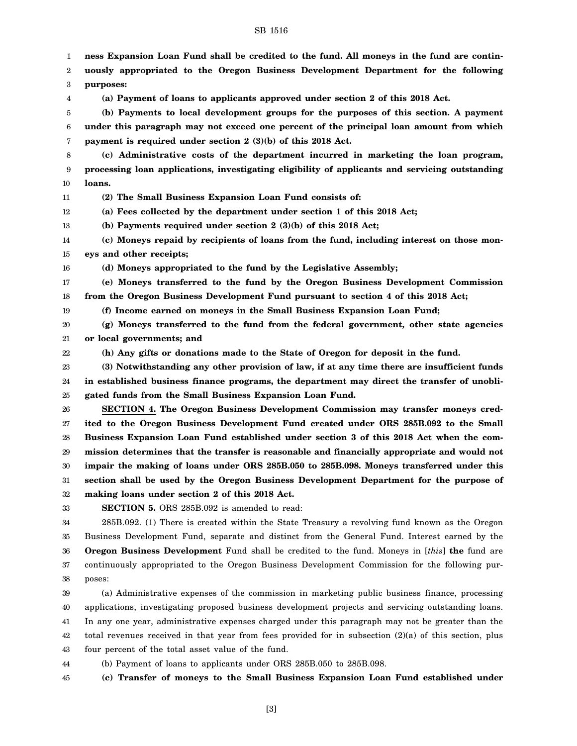## SB 1516

1 2 3 4 5 6 7 8 9 10 11 12 13 14 15 16 17 18 19 20 21 22 23 24 25 26 27 28 29 30 31 32 33 34 35 36 37 38 39 40 **ness Expansion Loan Fund shall be credited to the fund. All moneys in the fund are continuously appropriated to the Oregon Business Development Department for the following purposes: (a) Payment of loans to applicants approved under section 2 of this 2018 Act. (b) Payments to local development groups for the purposes of this section. A payment under this paragraph may not exceed one percent of the principal loan amount from which payment is required under section 2 (3)(b) of this 2018 Act. (c) Administrative costs of the department incurred in marketing the loan program, processing loan applications, investigating eligibility of applicants and servicing outstanding loans. (2) The Small Business Expansion Loan Fund consists of: (a) Fees collected by the department under section 1 of this 2018 Act; (b) Payments required under section 2 (3)(b) of this 2018 Act; (c) Moneys repaid by recipients of loans from the fund, including interest on those moneys and other receipts; (d) Moneys appropriated to the fund by the Legislative Assembly; (e) Moneys transferred to the fund by the Oregon Business Development Commission from the Oregon Business Development Fund pursuant to section 4 of this 2018 Act; (f) Income earned on moneys in the Small Business Expansion Loan Fund; (g) Moneys transferred to the fund from the federal government, other state agencies or local governments; and (h) Any gifts or donations made to the State of Oregon for deposit in the fund. (3) Notwithstanding any other provision of law, if at any time there are insufficient funds in established business finance programs, the department may direct the transfer of unobligated funds from the Small Business Expansion Loan Fund. SECTION 4. The Oregon Business Development Commission may transfer moneys credited to the Oregon Business Development Fund created under ORS 285B.092 to the Small Business Expansion Loan Fund established under section 3 of this 2018 Act when the commission determines that the transfer is reasonable and financially appropriate and would not impair the making of loans under ORS 285B.050 to 285B.098. Moneys transferred under this section shall be used by the Oregon Business Development Department for the purpose of making loans under section 2 of this 2018 Act. SECTION 5.** ORS 285B.092 is amended to read: 285B.092. (1) There is created within the State Treasury a revolving fund known as the Oregon Business Development Fund, separate and distinct from the General Fund. Interest earned by the **Oregon Business Development** Fund shall be credited to the fund. Moneys in [*this*] **the** fund are continuously appropriated to the Oregon Business Development Commission for the following purposes: (a) Administrative expenses of the commission in marketing public business finance, processing applications, investigating proposed business development projects and servicing outstanding loans.

41 42 43 In any one year, administrative expenses charged under this paragraph may not be greater than the total revenues received in that year from fees provided for in subsection (2)(a) of this section, plus four percent of the total asset value of the fund.

44 (b) Payment of loans to applicants under ORS 285B.050 to 285B.098.

45 **(c) Transfer of moneys to the Small Business Expansion Loan Fund established under**